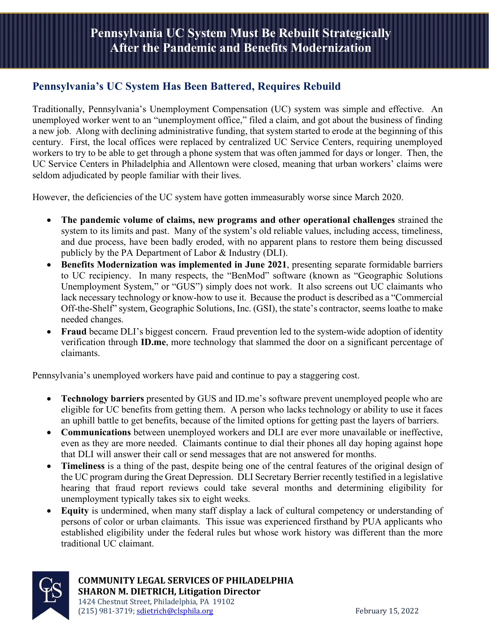## **Pennsylvania's UC System Has Been Battered, Requires Rebuild**

Traditionally, Pennsylvania's Unemployment Compensation (UC) system was simple and effective. An unemployed worker went to an "unemployment office," filed a claim, and got about the business of finding a new job. Along with declining administrative funding, that system started to erode at the beginning of this century. First, the local offices were replaced by centralized UC Service Centers, requiring unemployed workers to try to be able to get through a phone system that was often jammed for days or longer. Then, the UC Service Centers in Philadelphia and Allentown were closed, meaning that urban workers' claims were seldom adjudicated by people familiar with their lives.

However, the deficiencies of the UC system have gotten immeasurably worse since March 2020.

- **The pandemic volume of claims, new programs and other operational challenges** strained the system to its limits and past. Many of the system's old reliable values, including access, timeliness, and due process, have been badly eroded, with no apparent plans to restore them being discussed publicly by the PA Department of Labor & Industry (DLI).
- **Benefits Modernization was implemented in June 2021**, presenting separate formidable barriers to UC recipiency. In many respects, the "BenMod" software (known as "Geographic Solutions Unemployment System," or "GUS") simply does not work. It also screens out UC claimants who lack necessary technology or know-how to use it. Because the product is described as a "Commercial Off-the-Shelf" system, Geographic Solutions, Inc. (GSI), the state's contractor, seems loathe to make needed changes.
- **Fraud** became DLI's biggest concern. Fraud prevention led to the system-wide adoption of identity verification through **ID.me**, more technology that slammed the door on a significant percentage of claimants.

Pennsylvania's unemployed workers have paid and continue to pay a staggering cost.

- **Technology barriers** presented by GUS and ID.me's software prevent unemployed people who are eligible for UC benefits from getting them. A person who lacks technology or ability to use it faces an uphill battle to get benefits, because of the limited options for getting past the layers of barriers.
- **Communications** between unemployed workers and DLI are ever more unavailable or ineffective, even as they are more needed. Claimants continue to dial their phones all day hoping against hope that DLI will answer their call or send messages that are not answered for months.
- **Timeliness** is a thing of the past, despite being one of the central features of the original design of the UC program during the Great Depression. DLI Secretary Berrier recently testified in a legislative hearing that fraud report reviews could take several months and determining eligibility for unemployment typically takes six to eight weeks.
- **Equity** is undermined, when many staff display a lack of cultural competency or understanding of persons of color or urban claimants. This issue was experienced firsthand by PUA applicants who established eligibility under the federal rules but whose work history was different than the more traditional UC claimant.



**COMMUNITY LEGAL SERVICES OF PHILADELPHIA SHARON M. DIETRICH, Litigation Director** 1424 Chestnut Street, Philadelphia, PA 19102 (215) 981-3719; [sdietrich@clsphila.org](mailto:sdietrich@clsphila.org) February 15, 2022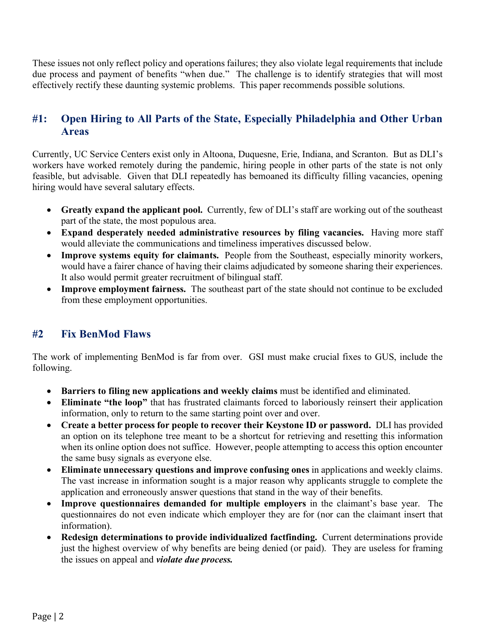These issues not only reflect policy and operations failures; they also violate legal requirements that include due process and payment of benefits "when due." The challenge is to identify strategies that will most effectively rectify these daunting systemic problems. This paper recommends possible solutions.

# **#1: Open Hiring to All Parts of the State, Especially Philadelphia and Other Urban Areas**

Currently, UC Service Centers exist only in Altoona, Duquesne, Erie, Indiana, and Scranton. But as DLI's workers have worked remotely during the pandemic, hiring people in other parts of the state is not only feasible, but advisable. Given that DLI repeatedly has bemoaned its difficulty filling vacancies, opening hiring would have several salutary effects.

- **Greatly expand the applicant pool.** Currently, few of DLI's staff are working out of the southeast part of the state, the most populous area.
- **Expand desperately needed administrative resources by filing vacancies.** Having more staff would alleviate the communications and timeliness imperatives discussed below.
- **Improve systems equity for claimants.** People from the Southeast, especially minority workers, would have a fairer chance of having their claims adjudicated by someone sharing their experiences. It also would permit greater recruitment of bilingual staff.
- **Improve employment fairness.** The southeast part of the state should not continue to be excluded from these employment opportunities.

# **#2 Fix BenMod Flaws**

The work of implementing BenMod is far from over. GSI must make crucial fixes to GUS, include the following.

- **Barriers to filing new applications and weekly claims** must be identified and eliminated.
- **Eliminate "the loop"** that has frustrated claimants forced to laboriously reinsert their application information, only to return to the same starting point over and over.
- **Create a better process for people to recover their Keystone ID or password.** DLI has provided an option on its telephone tree meant to be a shortcut for retrieving and resetting this information when its online option does not suffice. However, people attempting to access this option encounter the same busy signals as everyone else.
- **Eliminate unnecessary questions and improve confusing ones** in applications and weekly claims. The vast increase in information sought is a major reason why applicants struggle to complete the application and erroneously answer questions that stand in the way of their benefits.
- **Improve questionnaires demanded for multiple employers** in the claimant's base year. The questionnaires do not even indicate which employer they are for (nor can the claimant insert that information).
- **Redesign determinations to provide individualized factfinding.** Current determinations provide just the highest overview of why benefits are being denied (or paid). They are useless for framing the issues on appeal and *violate due process.*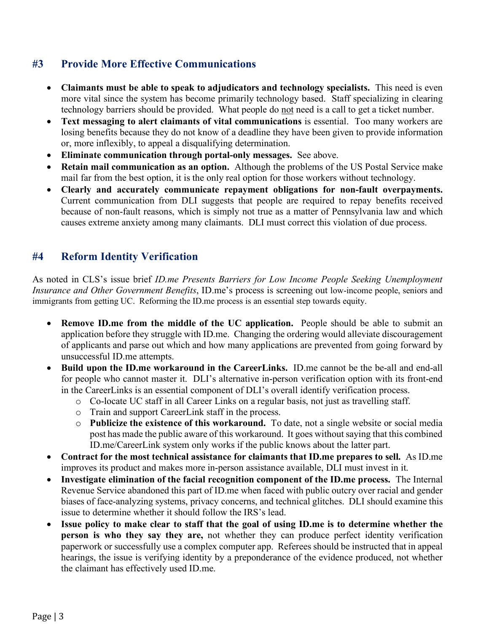## **#3 Provide More Effective Communications**

- **Claimants must be able to speak to adjudicators and technology specialists.** This need is even more vital since the system has become primarily technology based. Staff specializing in clearing technology barriers should be provided. What people do not need is a call to get a ticket number.
- **Text messaging to alert claimants of vital communications** is essential. Too many workers are losing benefits because they do not know of a deadline they have been given to provide information or, more inflexibly, to appeal a disqualifying determination.
- **Eliminate communication through portal-only messages.** See above.
- **Retain mail communication as an option.** Although the problems of the US Postal Service make mail far from the best option, it is the only real option for those workers without technology.
- **Clearly and accurately communicate repayment obligations for non-fault overpayments.** Current communication from DLI suggests that people are required to repay benefits received because of non-fault reasons, which is simply not true as a matter of Pennsylvania law and which causes extreme anxiety among many claimants. DLI must correct this violation of due process.

# **#4 Reform Identity Verification**

As noted in CLS's issue brief *ID.me Presents Barriers for Low Income People Seeking Unemployment Insurance and Other Government Benefits*, ID.me's process is screening out low-income people, seniors and immigrants from getting UC. Reforming the ID.me process is an essential step towards equity.

- **Remove ID.me from the middle of the UC application.** People should be able to submit an application before they struggle with ID.me. Changing the ordering would alleviate discouragement of applicants and parse out which and how many applications are prevented from going forward by unsuccessful ID.me attempts.
- **Build upon the ID.me workaround in the CareerLinks.** ID.me cannot be the be-all and end-all for people who cannot master it. DLI's alternative in-person verification option with its front-end in the CareerLinks is an essential component of DLI's overall identify verification process.
	- o Co-locate UC staff in all Career Links on a regular basis, not just as travelling staff.
	- o Train and support CareerLink staff in the process.
	- o **Publicize the existence of this workaround.** To date, not a single website or social media post has made the public aware of this workaround. It goes without saying that this combined ID.me/CareerLink system only works if the public knows about the latter part.
- **Contract for the most technical assistance for claimants that ID.me prepares to sell.** As ID.me improves its product and makes more in-person assistance available, DLI must invest in it.
- **Investigate elimination of the facial recognition component of the ID.me process.** The Internal Revenue Service abandoned this part of ID.me when faced with public outcry over racial and gender biases of face-analyzing systems, privacy concerns, and technical glitches. DLI should examine this issue to determine whether it should follow the IRS's lead.
- **Issue policy to make clear to staff that the goal of using ID.me is to determine whether the person is who they say they are,** not whether they can produce perfect identity verification paperwork or successfully use a complex computer app. Referees should be instructed that in appeal hearings, the issue is verifying identity by a preponderance of the evidence produced, not whether the claimant has effectively used ID.me.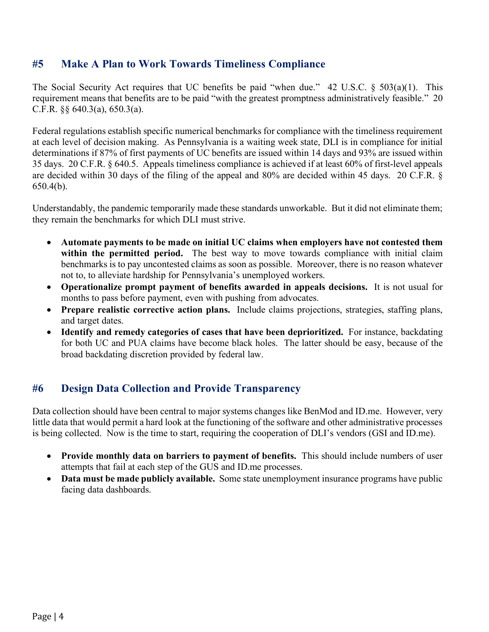## **#5 Make A Plan to Work Towards Timeliness Compliance**

The Social Security Act requires that UC benefits be paid "when due." 42 U.S.C. § 503(a)(1). This requirement means that benefits are to be paid "with the greatest promptness administratively feasible." 20 C.F.R.  $\S$ § 640.3(a), 650.3(a).

Federal regulations establish specific numerical benchmarks for compliance with the timeliness requirement at each level of decision making. As Pennsylvania is a waiting week state, DLI is in compliance for initial determinations if 87% of first payments of UC benefits are issued within 14 days and 93% are issued within 35 days. 20 C.F.R. § 640.5. Appeals timeliness compliance is achieved if at least 60% of first-level appeals are decided within 30 days of the filing of the appeal and 80% are decided within 45 days. 20 C.F.R. § 650.4(b).

Understandably, the pandemic temporarily made these standards unworkable. But it did not eliminate them; they remain the benchmarks for which DLI must strive.

- **Automate payments to be made on initial UC claims when employers have not contested them within the permitted period.** The best way to move towards compliance with initial claim benchmarks is to pay uncontested claims as soon as possible. Moreover, there is no reason whatever not to, to alleviate hardship for Pennsylvania's unemployed workers.
- **Operationalize prompt payment of benefits awarded in appeals decisions.** It is not usual for months to pass before payment, even with pushing from advocates.
- **Prepare realistic corrective action plans.** Include claims projections, strategies, staffing plans, and target dates.
- **Identify and remedy categories of cases that have been deprioritized.** For instance, backdating for both UC and PUA claims have become black holes. The latter should be easy, because of the broad backdating discretion provided by federal law.

### **#6 Design Data Collection and Provide Transparency**

Data collection should have been central to major systems changes like BenMod and ID.me. However, very little data that would permit a hard look at the functioning of the software and other administrative processes is being collected. Now is the time to start, requiring the cooperation of DLI's vendors (GSI and ID.me).

- **Provide monthly data on barriers to payment of benefits.** This should include numbers of user attempts that fail at each step of the GUS and ID.me processes.
- **Data must be made publicly available.** Some state unemployment insurance programs have public facing data dashboards.